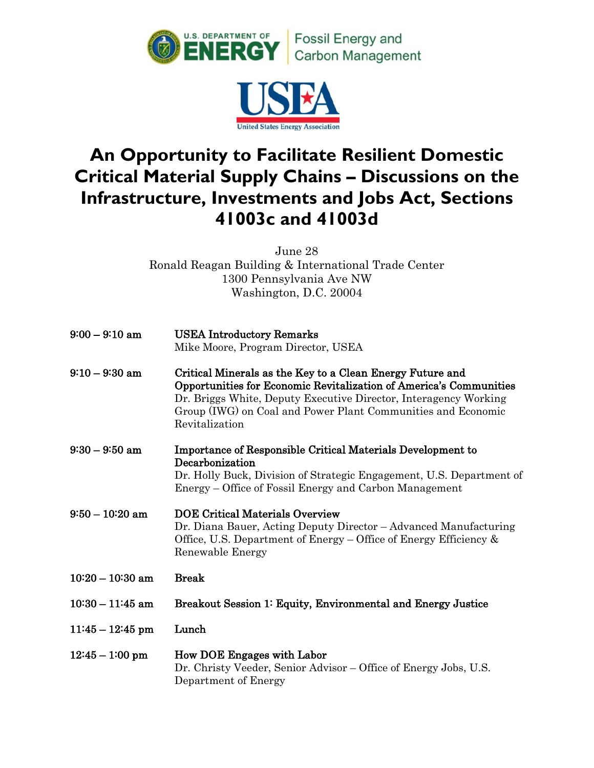



## **An Opportunity to Facilitate Resilient Domestic Critical Material Supply Chains – Discussions on the Infrastructure, Investments and Jobs Act, Sections 41003c and 41003d**

June 28 Ronald Reagan Building & International Trade Center 1300 Pennsylvania Ave NW Washington, D.C. 20004

| $9:00 - 9:10$ am     | <b>USEA Introductory Remarks</b><br>Mike Moore, Program Director, USEA                                                                                                                                                                                                                |
|----------------------|---------------------------------------------------------------------------------------------------------------------------------------------------------------------------------------------------------------------------------------------------------------------------------------|
| $9:10-9:30$ am       | Critical Minerals as the Key to a Clean Energy Future and<br>Opportunities for Economic Revitalization of America's Communities<br>Dr. Briggs White, Deputy Executive Director, Interagency Working<br>Group (IWG) on Coal and Power Plant Communities and Economic<br>Revitalization |
| 9:30 – 9:50 am       | Importance of Responsible Critical Materials Development to<br>Decarbonization<br>Dr. Holly Buck, Division of Strategic Engagement, U.S. Department of<br>Energy – Office of Fossil Energy and Carbon Management                                                                      |
| $9:50-10:20~\rm{am}$ | <b>DOE Critical Materials Overview</b><br>Dr. Diana Bauer, Acting Deputy Director – Advanced Manufacturing<br>Office, U.S. Department of Energy – Office of Energy Efficiency $\&$<br>Renewable Energy                                                                                |
| $10:20 - 10:30$ am   | <b>Break</b>                                                                                                                                                                                                                                                                          |
| $10:30 - 11:45$ am   | Breakout Session 1: Equity, Environmental and Energy Justice                                                                                                                                                                                                                          |
| $11:45 - 12:45$ pm   | Lunch                                                                                                                                                                                                                                                                                 |
| $12:45 - 1:00$ pm    | How DOE Engages with Labor<br>Dr. Christy Veeder, Senior Advisor – Office of Energy Jobs, U.S.<br>Department of Energy                                                                                                                                                                |